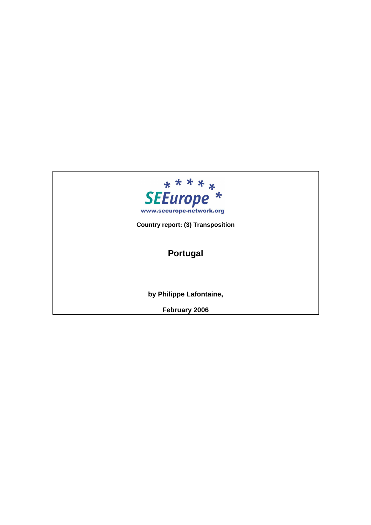

**Country report: (3) Transposition**

# **Portugal**

**by Philippe Lafontaine,** 

**February 2006**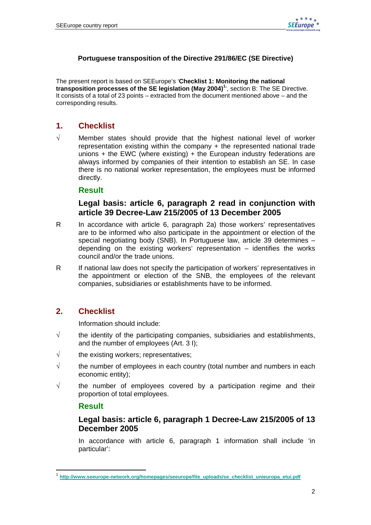#### **Portuguese transposition of the Directive 291/86/EC (SE Directive)**

The present report is based on SEEurope's '**Checklist 1: Monitoring the national transposition processes of the SE legislation (May 2004)<sup>1</sup>** ', section B: The SE Directive. It consists of a total of 23 points – extracted from the document mentioned above – and the corresponding results.

# **1. Checklist**

√ Member states should provide that the highest national level of worker representation existing within the company + the represented national trade unions  $+$  the EWC (where existing)  $+$  the European industry federations are always informed by companies of their intention to establish an SE. In case there is no national worker representation, the employees must be informed directly.

#### **Result**

#### **Legal basis: article 6, paragraph 2 read in conjunction with article 39 Decree-Law 215/2005 of 13 December 2005**

- R In accordance with article 6, paragraph 2a) those workers' representatives are to be informed who also participate in the appointment or election of the special negotiating body (SNB). In Portuguese law, article 39 determines – depending on the existing workers' representation – identifies the works council and/or the trade unions.
- R If national law does not specify the participation of workers' representatives in the appointment or election of the SNB, the employees of the relevant companies, subsidiaries or establishments have to be informed.

### **2. Checklist**

Information should include:

- $\sqrt{ }$  the identity of the participating companies, subsidiaries and establishments, and the number of employees (Art. 3 I);
- $\sqrt{\ }$  the existing workers; representatives;
- $\sqrt{ }$  the number of employees in each country (total number and numbers in each economic entity);
- $\sqrt{ }$  the number of employees covered by a participation regime and their proportion of total employees.

#### **Result**

l.

### **Legal basis: article 6, paragraph 1 Decree-Law 215/2005 of 13 December 2005**

 In accordance with article 6, paragraph 1 information shall include 'in particular':

<sup>1</sup> **http://www.seeurope-network.org/homepages/seeurope/file\_uploads/se\_checklist\_unieuropa\_etui.pdf**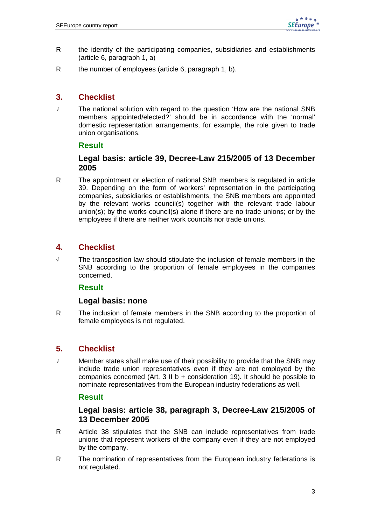- R the identity of the participating companies, subsidiaries and establishments (article 6, paragraph 1, a)
- R the number of employees (article 6, paragraph 1, b).

# **3. Checklist**

√ The national solution with regard to the question 'How are the national SNB members appointed/elected?' should be in accordance with the 'normal' domestic representation arrangements, for example, the role given to trade union organisations.

#### **Result**

### **Legal basis: article 39, Decree-Law 215/2005 of 13 December 2005**

R The appointment or election of national SNB members is regulated in article 39. Depending on the form of workers' representation in the participating companies, subsidiaries or establishments, the SNB members are appointed by the relevant works council(s) together with the relevant trade labour union(s); by the works council(s) alone if there are no trade unions; or by the employees if there are neither work councils nor trade unions.

# **4. Checklist**

√ The transposition law should stipulate the inclusion of female members in the SNB according to the proportion of female employees in the companies concerned.

### **Result**

#### **Legal basis: none**

R The inclusion of female members in the SNB according to the proportion of female employees is not regulated.

# **5. Checklist**

√ Member states shall make use of their possibility to provide that the SNB may include trade union representatives even if they are not employed by the companies concerned (Art. 3 II b + consideration 19). It should be possible to nominate representatives from the European industry federations as well.

#### **Result**

### **Legal basis: article 38, paragraph 3, Decree-Law 215/2005 of 13 December 2005**

- R Article 38 stipulates that the SNB can include representatives from trade unions that represent workers of the company even if they are not employed by the company.
- R The nomination of representatives from the European industry federations is not regulated.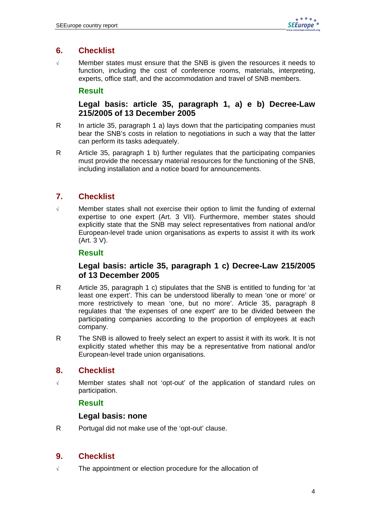# **6. Checklist**

√ Member states must ensure that the SNB is given the resources it needs to function, including the cost of conference rooms, materials, interpreting, experts, office staff, and the accommodation and travel of SNB members.

#### **Result**

### **Legal basis: article 35, paragraph 1, a) e b) Decree-Law 215/2005 of 13 December 2005**

- R In article 35, paragraph 1 a) lays down that the participating companies must bear the SNB's costs in relation to negotiations in such a way that the latter can perform its tasks adequately.
- R Article 35, paragraph 1 b) further regulates that the participating companies must provide the necessary material resources for the functioning of the SNB, including installation and a notice board for announcements.

# **7. Checklist**

√ Member states shall not exercise their option to limit the funding of external expertise to one expert (Art. 3 VII). Furthermore, member states should explicitly state that the SNB may select representatives from national and/or European-level trade union organisations as experts to assist it with its work (Art. 3 V).

### **Result**

### **Legal basis: article 35, paragraph 1 c) Decree-Law 215/2005 of 13 December 2005**

- R Article 35, paragraph 1 c) stipulates that the SNB is entitled to funding for 'at least one expert'. This can be understood liberally to mean 'one or more' or more restrictively to mean 'one, but no more'. Article 35, paragraph 8 regulates that 'the expenses of one expert' are to be divided between the participating companies according to the proportion of employees at each company.
- R The SNB is allowed to freely select an expert to assist it with its work. It is not explicitly stated whether this may be a representative from national and/or European-level trade union organisations.

# **8. Checklist**

√ Member states shall not 'opt-out' of the application of standard rules on participation.

### **Result**

#### **Legal basis: none**

R Portugal did not make use of the 'opt-out' clause.

# **9. Checklist**

√ The appointment or election procedure for the allocation of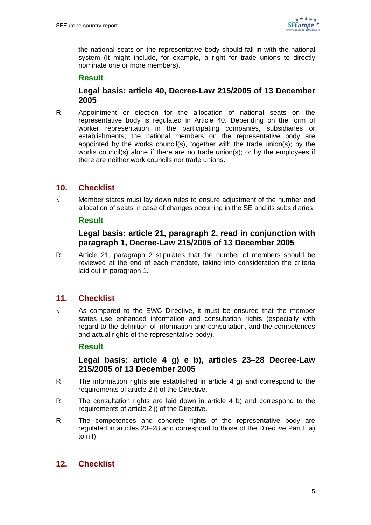the national seats on the representative body should fall in with the national system (it might include, for example, a right for trade unions to directly nominate one or more members).

#### **Result**

#### **Legal basis: article 40, Decree-Law 215/2005 of 13 December 2005**

R Appointment or election for the allocation of national seats on the representative body is regulated in Article 40. Depending on the form of worker representation in the participating companies, subsidiaries or establishments, the national members on the representative body are appointed by the works council(s), together with the trade union(s); by the works council(s) alone if there are no trade union(s); or by the employees if there are neither work councils nor trade unions.

### **10. Checklist**

 $\sqrt{ }$  Member states must lay down rules to ensure adjustment of the number and allocation of seats in case of changes occurring in the SE and its subsidiaries.

#### **Result**

### **Legal basis: article 21, paragraph 2, read in conjunction with paragraph 1, Decree-Law 215/2005 of 13 December 2005**

R Article 21, paragraph 2 stipulates that the number of members should be reviewed at the end of each mandate, taking into consideration the criteria laid out in paragraph 1.

### **11. Checklist**

 $\sqrt{ }$  As compared to the EWC Directive, it must be ensured that the member states use enhanced information and consultation rights (especially with regard to the definition of information and consultation, and the competences and actual rights of the representative body).

#### **Result**

#### **Legal basis: article 4 g) e b), articles 23–28 Decree-Law 215/2005 of 13 December 2005**

- R The information rights are established in article 4 g) and correspond to the requirements of article 2 i) of the Directive.
- R The consultation rights are laid down in article 4 b) and correspond to the requirements of article 2 j) of the Directive.
- R The competences and concrete rights of the representative body are regulated in articles 23–28 and correspond to those of the Directive Part II a) to n f).

### **12. Checklist**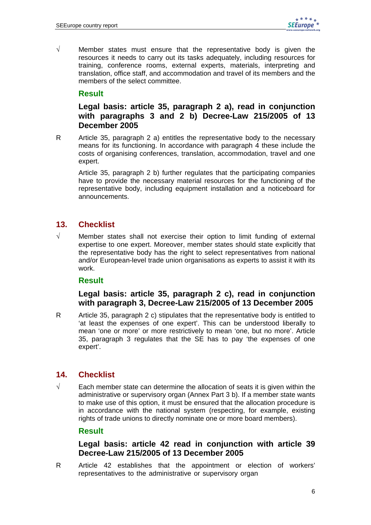$\sqrt{ }$  Member states must ensure that the representative body is given the resources it needs to carry out its tasks adequately, including resources for training, conference rooms, external experts, materials, interpreting and translation, office staff, and accommodation and travel of its members and the members of the select committee.

### **Result**

# **Legal basis: article 35, paragraph 2 a), read in conjunction with paragraphs 3 and 2 b) Decree-Law 215/2005 of 13 December 2005**

R Article 35, paragraph 2 a) entitles the representative body to the necessary means for its functioning. In accordance with paragraph 4 these include the costs of organising conferences, translation, accommodation, travel and one expert.

 Article 35, paragraph 2 b) further regulates that the participating companies have to provide the necessary material resources for the functioning of the representative body, including equipment installation and a noticeboard for announcements.

### **13. Checklist**

√ Member states shall not exercise their option to limit funding of external expertise to one expert. Moreover, member states should state explicitly that the representative body has the right to select representatives from national and/or European-level trade union organisations as experts to assist it with its work.

### **Result**

### **Legal basis: article 35, paragraph 2 c), read in conjunction with paragraph 3, Decree-Law 215/2005 of 13 December 2005**

R Article 35, paragraph 2 c) stipulates that the representative body is entitled to 'at least the expenses of one expert'. This can be understood liberally to mean 'one or more' or more restrictively to mean 'one, but no more'. Article 35, paragraph 3 regulates that the SE has to pay 'the expenses of one expert'.

### **14. Checklist**

 $\sqrt{ }$  Each member state can determine the allocation of seats it is given within the administrative or supervisory organ (Annex Part 3 b). If a member state wants to make use of this option, it must be ensured that the allocation procedure is in accordance with the national system (respecting, for example, existing rights of trade unions to directly nominate one or more board members).

#### **Result**

### **Legal basis: article 42 read in conjunction with article 39 Decree-Law 215/2005 of 13 December 2005**

R Article 42 establishes that the appointment or election of workers' representatives to the administrative or supervisory organ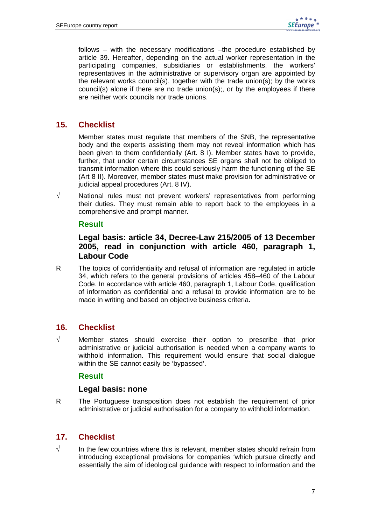follows – with the necessary modifications –the procedure established by article 39. Hereafter, depending on the actual worker representation in the participating companies, subsidiaries or establishments, the workers' representatives in the administrative or supervisory organ are appointed by the relevant works council(s), together with the trade union(s); by the works council(s) alone if there are no trade union(s);, or by the employees if there are neither work councils nor trade unions.

# **15. Checklist**

Member states must regulate that members of the SNB, the representative body and the experts assisting them may not reveal information which has been given to them confidentially (Art. 8 I). Member states have to provide, further, that under certain circumstances SE organs shall not be obliged to transmit information where this could seriously harm the functioning of the SE (Art 8 II). Moreover, member states must make provision for administrative or judicial appeal procedures (Art. 8 IV).

√ National rules must not prevent workers' representatives from performing their duties. They must remain able to report back to the employees in a comprehensive and prompt manner.

#### **Result**

### **Legal basis: article 34, Decree-Law 215/2005 of 13 December 2005, read in conjunction with article 460, paragraph 1, Labour Code**

R The topics of confidentiality and refusal of information are regulated in article 34, which refers to the general provisions of articles 458–460 of the Labour Code. In accordance with article 460, paragraph 1, Labour Code, qualification of information as confidential and a refusal to provide information are to be made in writing and based on objective business criteria.

### **16. Checklist**

√ Member states should exercise their option to prescribe that prior administrative or judicial authorisation is needed when a company wants to withhold information. This requirement would ensure that social dialogue within the SE cannot easily be 'bypassed'.

#### **Result**

#### **Legal basis: none**

R The Portuguese transposition does not establish the requirement of prior administrative or judicial authorisation for a company to withhold information.

### **17. Checklist**

 $\sqrt{ }$  In the few countries where this is relevant, member states should refrain from introducing exceptional provisions for companies 'which pursue directly and essentially the aim of ideological guidance with respect to information and the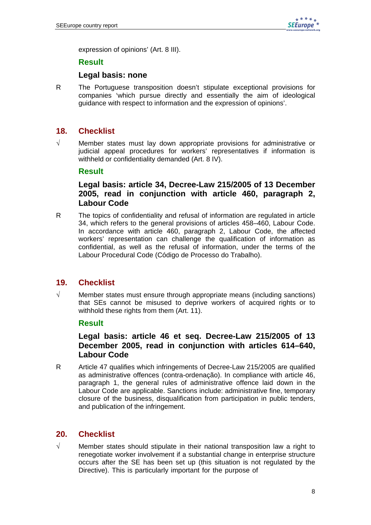expression of opinions' (Art. 8 III).

#### **Result**

#### **Legal basis: none**

R The Portuguese transposition doesn't stipulate exceptional provisions for companies 'which pursue directly and essentially the aim of ideological guidance with respect to information and the expression of opinions'.

### **18. Checklist**

√ Member states must lay down appropriate provisions for administrative or judicial appeal procedures for workers' representatives if information is withheld or confidentiality demanded (Art. 8 IV).

#### **Result**

### **Legal basis: article 34, Decree-Law 215/2005 of 13 December 2005, read in conjunction with article 460, paragraph 2, Labour Code**

R The topics of confidentiality and refusal of information are regulated in article 34, which refers to the general provisions of articles 458–460, Labour Code. In accordance with article 460, paragraph 2, Labour Code, the affected workers' representation can challenge the qualification of information as confidential, as well as the refusal of information, under the terms of the Labour Procedural Code (Código de Processo do Trabalho).

### **19. Checklist**

√ Member states must ensure through appropriate means (including sanctions) that SEs cannot be misused to deprive workers of acquired rights or to withhold these rights from them (Art. 11).

#### **Result**

### **Legal basis: article 46 et seq. Decree-Law 215/2005 of 13 December 2005, read in conjunction with articles 614–640, Labour Code**

R Article 47 qualifies which infringements of Decree-Law 215/2005 are qualified as administrative offences (contra-ordenação). In compliance with article 46, paragraph 1, the general rules of administrative offence laid down in the Labour Code are applicable. Sanctions include: administrative fine, temporary closure of the business, disqualification from participation in public tenders, and publication of the infringement.

#### **20. Checklist**

 $\sqrt{ }$  Member states should stipulate in their national transposition law a right to renegotiate worker involvement if a substantial change in enterprise structure occurs after the SE has been set up (this situation is not regulated by the Directive). This is particularly important for the purpose of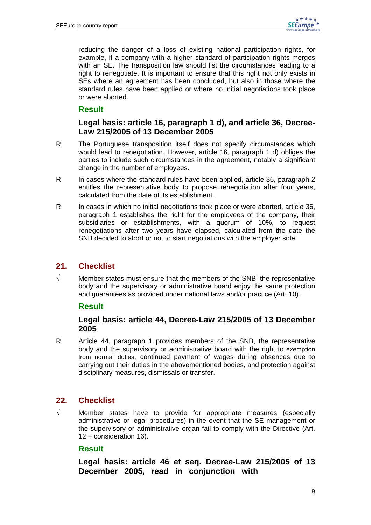reducing the danger of a loss of existing national participation rights, for example, if a company with a higher standard of participation rights merges with an SE. The transposition law should list the circumstances leading to a right to renegotiate. It is important to ensure that this right not only exists in SEs where an agreement has been concluded, but also in those where the standard rules have been applied or where no initial negotiations took place or were aborted.

### **Result**

#### **Legal basis: article 16, paragraph 1 d), and article 36, Decree-Law 215/2005 of 13 December 2005**

- R The Portuguese transposition itself does not specify circumstances which would lead to renegotiation. However, article 16, paragraph 1 d) obliges the parties to include such circumstances in the agreement, notably a significant change in the number of employees.
- R In cases where the standard rules have been applied, article 36, paragraph 2 entitles the representative body to propose renegotiation after four years, calculated from the date of its establishment.
- R In cases in which no initial negotiations took place or were aborted, article 36, paragraph 1 establishes the right for the employees of the company, their subsidiaries or establishments, with a quorum of 10%, to request renegotiations after two years have elapsed, calculated from the date the SNB decided to abort or not to start negotiations with the employer side.

# **21. Checklist**

 $\sqrt{ }$  Member states must ensure that the members of the SNB, the representative body and the supervisory or administrative board enjoy the same protection and guarantees as provided under national laws and/or practice (Art. 10).

#### **Result**

### **Legal basis: article 44, Decree-Law 215/2005 of 13 December 2005**

R Article 44, paragraph 1 provides members of the SNB, the representative body and the supervisory or administrative board with the right to exemption from normal duties, continued payment of wages during absences due to carrying out their duties in the abovementioned bodies, and protection against disciplinary measures, dismissals or transfer.

### **22. Checklist**

√ Member states have to provide for appropriate measures (especially administrative or legal procedures) in the event that the SE management or the supervisory or administrative organ fail to comply with the Directive (Art. 12 + consideration 16).

#### **Result**

**Legal basis: article 46 et seq. Decree-Law 215/2005 of 13 December 2005, read in conjunction with**